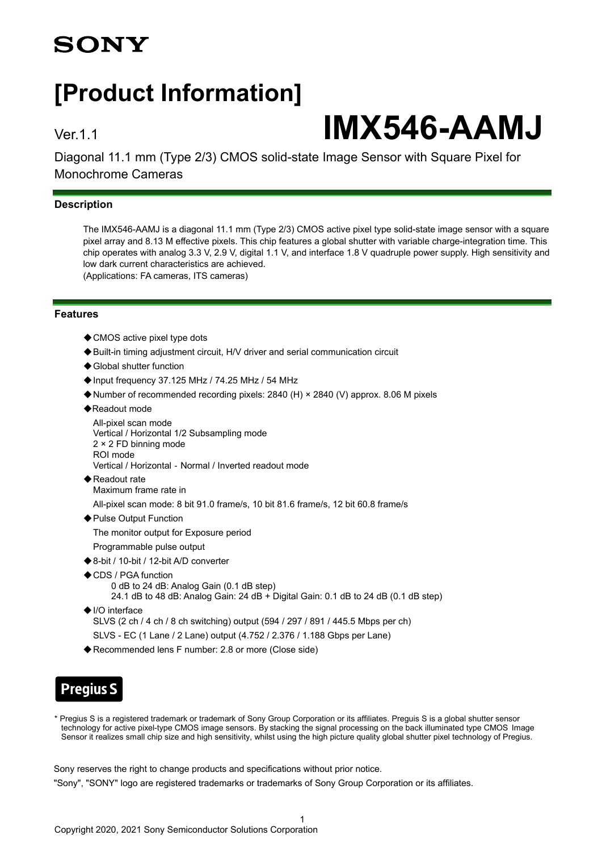## **SONY**

## **[Product Information]**

# Ver.1.1 **IMX546-AAMJ**

Diagonal 11.1 mm (Type 2/3) CMOS solid-state Image Sensor with Square Pixel for Monochrome Cameras

### **Description**

The IMX546-AAMJ is a diagonal 11.1 mm (Type 2/3) CMOS active pixel type solid-state image sensor with a square pixel array and 8.13 M effective pixels. This chip features a global shutter with variable charge-integration time. This chip operates with analog 3.3 V, 2.9 V, digital 1.1 V, and interface 1.8 V quadruple power supply. High sensitivity and low dark current characteristics are achieved. (Applications: FA cameras, ITS cameras)

**Features**

- ◆ CMOS active pixel type dots
- ◆Built-in timing adjustment circuit, H/V driver and serial communication circuit
- ◆ Global shutter function
- ◆Input frequency 37.125 MHz / 74.25 MHz / 54 MHz
- ◆Number of recommended recording pixels: 2840 (H) × 2840 (V) approx. 8.06 M pixels
- ◆Readout mode

```
All-pixel scan mode
Vertical / Horizontal 1/2 Subsampling mode
2 × 2 FD binning mode
ROI mode
Vertical / Horizontal - Normal / Inverted readout mode
```
- ◆Readout rate Maximum frame rate in
- All-pixel scan mode: 8 bit 91.0 frame/s, 10 bit 81.6 frame/s, 12 bit 60.8 frame/s
- ◆ Pulse Output Function

The monitor output for Exposure period

- Programmable pulse output
- ◆8-bit / 10-bit / 12-bit A/D converter
- ◆CDS / PGA function 0 dB to 24 dB: Analog Gain (0.1 dB step)
	- 24.1 dB to 48 dB: Analog Gain: 24 dB + Digital Gain: 0.1 dB to 24 dB (0.1 dB step)
- ◆I/O interface
	- SLVS (2 ch / 4 ch / 8 ch switching) output (594 / 297 / 891 / 445.5 Mbps per ch)
	- SLVS EC (1 Lane / 2 Lane) output (4.752 / 2.376 / 1.188 Gbps per Lane)
- ◆ Recommended lens F number: 2.8 or more (Close side)

## **Pregius S**

\* Pregius S is a registered trademark or trademark of Sony Group Corporation or its affiliates. Preguis S is a global shutter sensor technology for active pixel-type CMOS image sensors. By stacking the signal processing on the back illuminated type CMOS Image Sensor it realizes small chip size and high sensitivity, whilst using the high picture quality global shutter pixel technology of Pregius.

Sony reserves the right to change products and specifications without prior notice.

"Sony", "SONY" logo are registered trademarks or trademarks of Sony Group Corporation or its affiliates.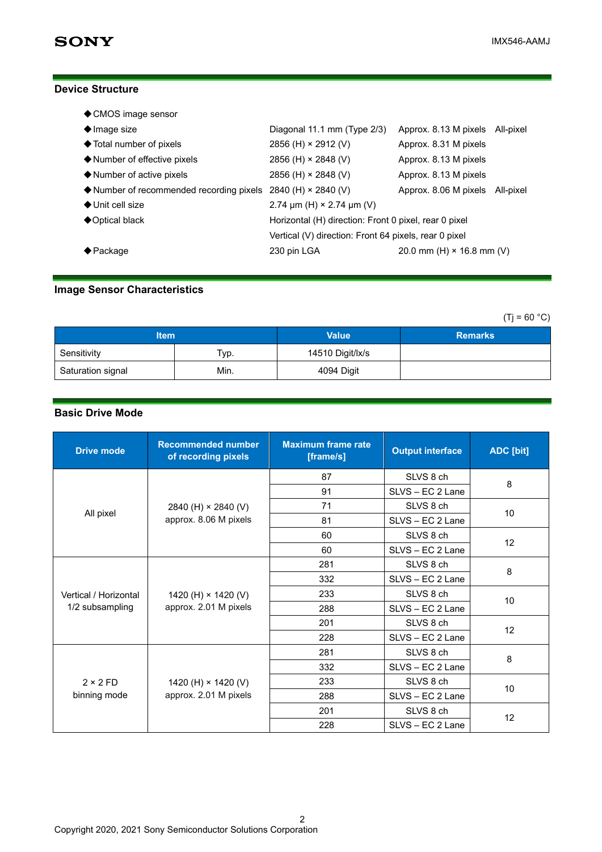### **Device Structure**

| ◆ CMOS image sensor                                                               |                                                       |                                  |  |
|-----------------------------------------------------------------------------------|-------------------------------------------------------|----------------------------------|--|
| $\blacklozenge$ Image size                                                        | Diagonal 11.1 mm (Type 2/3)                           | Approx. 8.13 M pixels All-pixel  |  |
| ◆ Total number of pixels                                                          | 2856 (H) $\times$ 2912 (V)                            | Approx. 8.31 M pixels            |  |
| ♦ Number of effective pixels                                                      | 2856 (H) $\times$ 2848 (V)                            | Approx. 8.13 M pixels            |  |
| $\blacklozenge$ Number of active pixels                                           | 2856 (H) × 2848 (V)                                   | Approx. 8.13 M pixels            |  |
| $\blacklozenge$ Number of recommended recording pixels 2840 (H) $\times$ 2840 (V) |                                                       | Approx. 8.06 M pixels All-pixel  |  |
| $\bigstar$ Unit cell size                                                         | 2.74 $\mu$ m (H) × 2.74 $\mu$ m (V)                   |                                  |  |
| ◆ Optical black                                                                   | Horizontal (H) direction: Front 0 pixel, rear 0 pixel |                                  |  |
|                                                                                   | Vertical (V) direction: Front 64 pixels, rear 0 pixel |                                  |  |
| $\biglozenge$ Package                                                             | 230 pin LGA                                           | 20.0 mm (H) $\times$ 16.8 mm (V) |  |

## **Image Sensor Characteristics**

 $(Ti = 60 °C)$ 

| <b>Item</b>       |      | <b>Value</b>     | <b>Remarks</b> |
|-------------------|------|------------------|----------------|
| Sensitivity       | Тур. | 14510 Digit/lx/s |                |
| Saturation signal | Min. | 4094 Digit       |                |

## **Basic Drive Mode**

| <b>Drive mode</b>                        | <b>Recommended number</b><br>of recording pixels    | <b>Maximum frame rate</b><br>[frame/s] | <b>Output interface</b> | ADC [bit] |
|------------------------------------------|-----------------------------------------------------|----------------------------------------|-------------------------|-----------|
|                                          | 2840 (H) $\times$ 2840 (V)<br>approx. 8.06 M pixels | 87                                     | SLVS 8 ch               | 8         |
|                                          |                                                     | 91                                     | SLVS - EC 2 Lane        |           |
|                                          |                                                     | 71                                     | SLVS 8 ch               | 10        |
| All pixel                                |                                                     | 81                                     | SLVS - EC 2 Lane        |           |
|                                          |                                                     | 60                                     | SLVS 8 ch               | 12        |
|                                          |                                                     | 60                                     | SLVS - EC 2 Lane        |           |
|                                          | 1420 (H) $\times$ 1420 (V)<br>approx. 2.01 M pixels | 281                                    | SLVS 8 ch               | 8         |
| Vertical / Horizontal<br>1/2 subsampling |                                                     | 332                                    | SLVS - EC 2 Lane        |           |
|                                          |                                                     | 233                                    | SLVS 8 ch               | 10        |
|                                          |                                                     | 288                                    | SLVS - EC 2 Lane        |           |
|                                          |                                                     | 201                                    | SLVS 8 ch               | 12        |
|                                          |                                                     | 228                                    | SLVS - EC 2 Lane        |           |
| $2 \times 2 FD$<br>binning mode          | 1420 (H) × 1420 (V)<br>approx. 2.01 M pixels        | 281                                    | SLVS 8 ch               | 8         |
|                                          |                                                     | 332                                    | SLVS - EC 2 Lane        |           |
|                                          |                                                     | 233                                    | SLVS 8 ch               | 10        |
|                                          |                                                     | 288                                    | SLVS - EC 2 Lane        |           |
|                                          |                                                     | 201                                    | SLVS 8 ch               |           |
|                                          |                                                     | 228                                    | SLVS - EC 2 Lane        | 12        |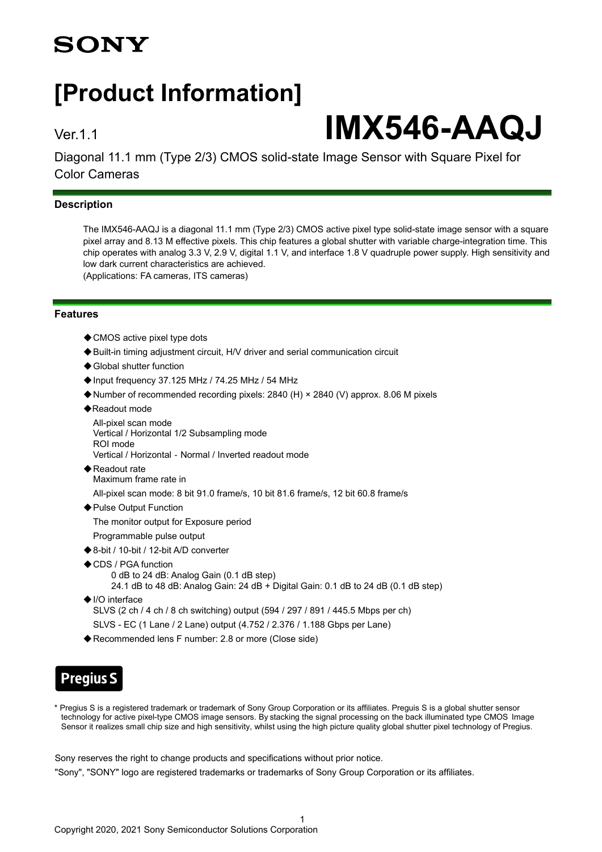## **SONY**

## **[Product Information]**

# Ver.1.1 **IMX546-AAQJ**

Diagonal 11.1 mm (Type 2/3) CMOS solid-state Image Sensor with Square Pixel for Color Cameras

## **Description**

The IMX546-AAQJ is a diagonal 11.1 mm (Type 2/3) CMOS active pixel type solid-state image sensor with a square pixel array and 8.13 M effective pixels. This chip features a global shutter with variable charge-integration time. This chip operates with analog 3.3 V, 2.9 V, digital 1.1 V, and interface 1.8 V quadruple power supply. High sensitivity and low dark current characteristics are achieved. (Applications: FA cameras, ITS cameras)

**Features**

- ◆ CMOS active pixel type dots
- ◆Built-in timing adjustment circuit, H/V driver and serial communication circuit
- ◆ Global shutter function
- ◆Input frequency 37.125 MHz / 74.25 MHz / 54 MHz
- ◆Number of recommended recording pixels: 2840 (H) × 2840 (V) approx. 8.06 M pixels
- ◆Readout mode

All-pixel scan mode Vertical / Horizontal 1/2 Subsampling mode ROI mode Vertical / Horizontal‐Normal / Inverted readout mode

◆ Readout rate Maximum frame rate in

All-pixel scan mode: 8 bit 91.0 frame/s, 10 bit 81.6 frame/s, 12 bit 60.8 frame/s

◆ Pulse Output Function The monitor output for Exposure period

Programmable pulse output

- ◆8-bit / 10-bit / 12-bit A/D converter
- ◆CDS / PGA function
	- 0 dB to 24 dB: Analog Gain (0.1 dB step)
	- 24.1 dB to 48 dB: Analog Gain: 24 dB + Digital Gain: 0.1 dB to 24 dB (0.1 dB step)
- ◆I/O interface SLVS (2 ch / 4 ch / 8 ch switching) output (594 / 297 / 891 / 445.5 Mbps per ch) SLVS - EC (1 Lane / 2 Lane) output (4.752 / 2.376 / 1.188 Gbps per Lane)
- ◆ Recommended lens F number: 2.8 or more (Close side)

## **Pregius S**

\* Pregius S is a registered trademark or trademark of Sony Group Corporation or its affiliates. Preguis S is a global shutter sensor technology for active pixel-type CMOS image sensors. By stacking the signal processing on the back illuminated type CMOS Image Sensor it realizes small chip size and high sensitivity, whilst using the high picture quality global shutter pixel technology of Pregius.

Sony reserves the right to change products and specifications without prior notice.

"Sony", "SONY" logo are registered trademarks or trademarks of Sony Group Corporation or its affiliates.